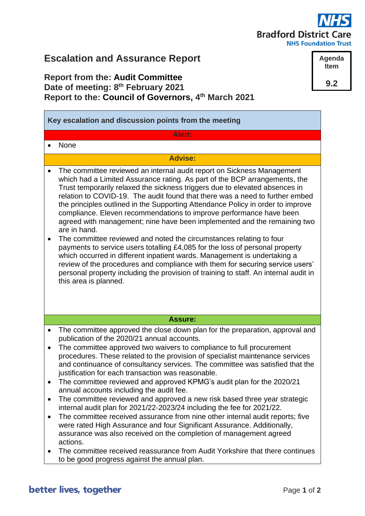# **Bradford District Care**

**NHS Foundation Trust** 

**Agenda Item**

**9.2**

## **Escalation and Assurance Report**

### **Report from the: Audit Committee Date of meeting: 8 th February 2021 Report to the: Council of Governors, 4 th March 2021**

| Key escalation and discussion points from the meeting |                                                                                                                                                                                                                                                                                                                                                                                                                                                                                                                                                                                                                                                                                                                                                                                                                                                                                                                                                                                                                                       |
|-------------------------------------------------------|---------------------------------------------------------------------------------------------------------------------------------------------------------------------------------------------------------------------------------------------------------------------------------------------------------------------------------------------------------------------------------------------------------------------------------------------------------------------------------------------------------------------------------------------------------------------------------------------------------------------------------------------------------------------------------------------------------------------------------------------------------------------------------------------------------------------------------------------------------------------------------------------------------------------------------------------------------------------------------------------------------------------------------------|
|                                                       | Alert:                                                                                                                                                                                                                                                                                                                                                                                                                                                                                                                                                                                                                                                                                                                                                                                                                                                                                                                                                                                                                                |
|                                                       | None                                                                                                                                                                                                                                                                                                                                                                                                                                                                                                                                                                                                                                                                                                                                                                                                                                                                                                                                                                                                                                  |
| <b>Advise:</b>                                        |                                                                                                                                                                                                                                                                                                                                                                                                                                                                                                                                                                                                                                                                                                                                                                                                                                                                                                                                                                                                                                       |
| $\bullet$                                             | The committee reviewed an internal audit report on Sickness Management<br>which had a Limited Assurance rating. As part of the BCP arrangements, the<br>Trust temporarily relaxed the sickness triggers due to elevated absences in<br>relation to COVID-19. The audit found that there was a need to further embed<br>the principles outlined in the Supporting Attendance Policy in order to improve<br>compliance. Eleven recommendations to improve performance have been<br>agreed with management; nine have been implemented and the remaining two<br>are in hand.<br>The committee reviewed and noted the circumstances relating to four<br>payments to service users totalling £4,085 for the loss of personal property<br>which occurred in different inpatient wards. Management is undertaking a<br>review of the procedures and compliance with them for securing service users'<br>personal property including the provision of training to staff. An internal audit in<br>this area is planned.                        |
|                                                       | <b>Assure:</b>                                                                                                                                                                                                                                                                                                                                                                                                                                                                                                                                                                                                                                                                                                                                                                                                                                                                                                                                                                                                                        |
| $\bullet$                                             | The committee approved the close down plan for the preparation, approval and<br>publication of the 2020/21 annual accounts.<br>The committee approved two waivers to compliance to full procurement<br>procedures. These related to the provision of specialist maintenance services<br>and continuance of consultancy services. The committee was satisfied that the<br>justification for each transaction was reasonable.<br>The committee reviewed and approved KPMG's audit plan for the 2020/21<br>annual accounts including the audit fee.<br>The committee reviewed and approved a new risk based three year strategic<br>internal audit plan for 2021/22-2023/24 including the fee for 2021/22.<br>The committee received assurance from nine other internal audit reports; five<br>were rated High Assurance and four Significant Assurance. Additionally,<br>assurance was also received on the completion of management agreed<br>actions.<br>The committee received reassurance from Audit Yorkshire that there continues |
|                                                       | to be good progress against the annual plan.                                                                                                                                                                                                                                                                                                                                                                                                                                                                                                                                                                                                                                                                                                                                                                                                                                                                                                                                                                                          |